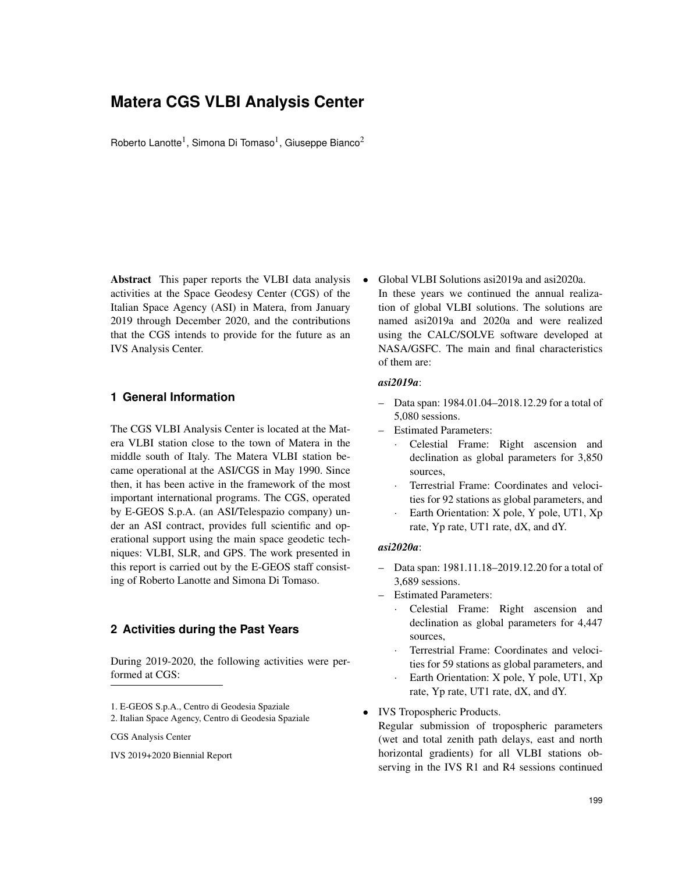# **Matera CGS VLBI Analysis Center**

Roberto Lanotte<sup>1</sup>, Simona Di Tomaso<sup>1</sup>, Giuseppe Bianco<sup>2</sup>

Abstract This paper reports the VLBI data analysis activities at the Space Geodesy Center (CGS) of the Italian Space Agency (ASI) in Matera, from January 2019 through December 2020, and the contributions that the CGS intends to provide for the future as an IVS Analysis Center.

#### **1 General Information**

The CGS VLBI Analysis Center is located at the Matera VLBI station close to the town of Matera in the middle south of Italy. The Matera VLBI station became operational at the ASI/CGS in May 1990. Since then, it has been active in the framework of the most important international programs. The CGS, operated by E-GEOS S.p.A. (an ASI/Telespazio company) under an ASI contract, provides full scientific and operational support using the main space geodetic techniques: VLBI, SLR, and GPS. The work presented in this report is carried out by the E-GEOS staff consisting of Roberto Lanotte and Simona Di Tomaso.

#### **2 Activities during the Past Years**

During 2019-2020, the following activities were performed at CGS:

2. Italian Space Agency, Centro di Geodesia Spaziale

CGS Analysis Center

IVS 2019+2020 Biennial Report

• Global VLBI Solutions asi2019a and asi2020a. In these years we continued the annual realization of global VLBI solutions. The solutions are named asi2019a and 2020a and were realized using the CALC/SOLVE software developed at NASA/GSFC. The main and final characteristics of them are:

### *asi2019a*:

- Data span: 1984.01.04–2018.12.29 for a total of 5,080 sessions.
- Estimated Parameters:
	- Celestial Frame: Right ascension and declination as global parameters for 3,850 sources,
	- Terrestrial Frame: Coordinates and velocities for 92 stations as global parameters, and
	- Earth Orientation: X pole, Y pole, UT1, Xp rate, Yp rate, UT1 rate, dX, and dY.

#### *asi2020a*:

- Data span: 1981.11.18–2019.12.20 for a total of 3,689 sessions.
- Estimated Parameters:
	- Celestial Frame: Right ascension and declination as global parameters for 4,447 sources,
	- Terrestrial Frame: Coordinates and velocities for 59 stations as global parameters, and
	- Earth Orientation: X pole, Y pole, UT1, Xp rate, Yp rate, UT1 rate, dX, and dY.

• IVS Tropospheric Products.

Regular submission of tropospheric parameters (wet and total zenith path delays, east and north horizontal gradients) for all VLBI stations observing in the IVS R1 and R4 sessions continued

<sup>1.</sup> E-GEOS S.p.A., Centro di Geodesia Spaziale